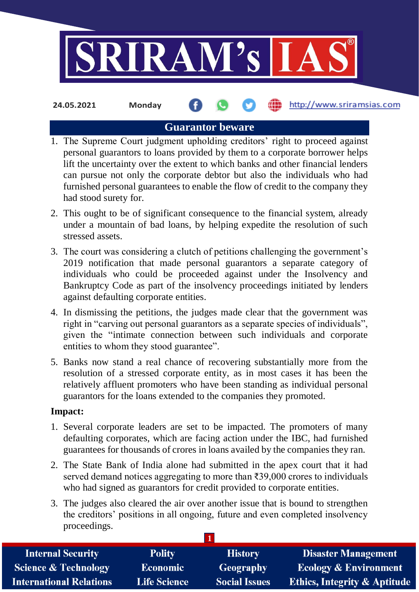

**24.05.2021 Monday**

http://www.sriramsias.com

# **Guarantor beware**

- 1. The Supreme Court judgment upholding creditors' right to proceed against personal guarantors to loans provided by them to a corporate borrower helps lift the uncertainty over the extent to which banks and other financial lenders can pursue not only the corporate debtor but also the individuals who had furnished personal guarantees to enable the flow of credit to the company they had stood surety for.
- 2. This ought to be of significant consequence to the financial system, already under a mountain of bad loans, by helping expedite the resolution of such stressed assets.
- 3. The court was considering a clutch of petitions challenging the government's 2019 notification that made personal guarantors a separate category of individuals who could be proceeded against under the Insolvency and Bankruptcy Code as part of the insolvency proceedings initiated by lenders against defaulting corporate entities.
- 4. In dismissing the petitions, the judges made clear that the government was right in "carving out personal guarantors as a separate species of individuals", given the "intimate connection between such individuals and corporate entities to whom they stood guarantee".
- 5. Banks now stand a real chance of recovering substantially more from the resolution of a stressed corporate entity, as in most cases it has been the relatively affluent promoters who have been standing as individual personal guarantors for the loans extended to the companies they promoted.

## **Impact:**

- 1. Several corporate leaders are set to be impacted. The promoters of many defaulting corporates, which are facing action under the IBC, had furnished guarantees for thousands of crores in loans availed by the companies they ran.
- 2. The State Bank of India alone had submitted in the apex court that it had served demand notices aggregating to more than ₹39,000 crores to individuals who had signed as guarantors for credit provided to corporate entities.
- 3. The judges also cleared the air over another issue that is bound to strengthen the creditors' positions in all ongoing, future and even completed insolvency proceedings.

| <b>Internal Security</b>        | <b>Polity</b>       | <b>History</b>       | <b>Disaster Management</b>              |
|---------------------------------|---------------------|----------------------|-----------------------------------------|
| <b>Science &amp; Technology</b> | <b>Economic</b>     | Geography            | <b>Ecology &amp; Environment</b>        |
| <b>International Relations</b>  | <b>Life Science</b> | <b>Social Issues</b> | <b>Ethics, Integrity &amp; Aptitude</b> |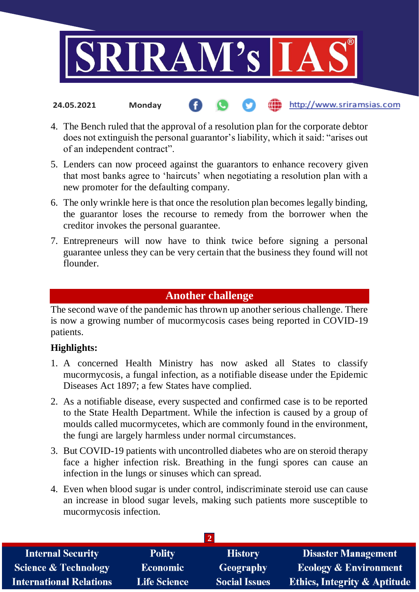

4. The Bench ruled that the approval of a resolution plan for the corporate debtor does not extinguish the personal guarantor's liability, which it said: "arises out of an independent contract".

the http://www.sriramsias.com

- 5. Lenders can now proceed against the guarantors to enhance recovery given that most banks agree to 'haircuts' when negotiating a resolution plan with a new promoter for the defaulting company.
- 6. The only wrinkle here is that once the resolution plan becomes legally binding, the guarantor loses the recourse to remedy from the borrower when the creditor invokes the personal guarantee.
- 7. Entrepreneurs will now have to think twice before signing a personal guarantee unless they can be very certain that the business they found will not flounder.

# **Another challenge**

The second wave of the pandemic has thrown up another serious challenge. There is now a growing number of mucormycosis cases being reported in COVID-19 patients.

## **Highlights:**

**24.05.2021 Monday**

- 1. A concerned Health Ministry has now asked all States to classify mucormycosis, a fungal infection, as a notifiable disease under the Epidemic Diseases Act 1897; a few States have complied.
- 2. As a notifiable disease, every suspected and confirmed case is to be reported to the State Health Department. While the infection is caused by a group of moulds called mucormycetes, which are commonly found in the environment, the fungi are largely harmless under normal circumstances.
- 3. But COVID-19 patients with uncontrolled diabetes who are on steroid therapy face a higher infection risk. Breathing in the fungi spores can cause an infection in the lungs or sinuses which can spread.
- 4. Even when blood sugar is under control, indiscriminate steroid use can cause an increase in blood sugar levels, making such patients more susceptible to mucormycosis infection.

| <b>Internal Security</b>        | <b>Polity</b>       | <b>History</b>       | <b>Disaster Management</b>              |
|---------------------------------|---------------------|----------------------|-----------------------------------------|
| <b>Science &amp; Technology</b> | <b>Economic</b>     | <b>Geography</b>     | <b>Ecology &amp; Environment</b>        |
| <b>International Relations</b>  | <b>Life Science</b> | <b>Social Issues</b> | <b>Ethics, Integrity &amp; Aptitude</b> |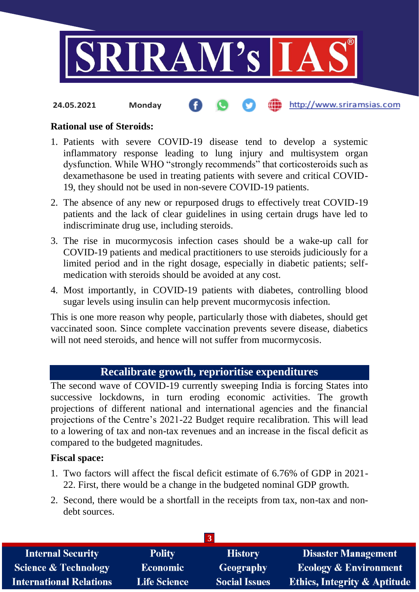

### **Rational use of Steroids:**

- 1. Patients with severe COVID-19 disease tend to develop a systemic inflammatory response leading to lung injury and multisystem organ dysfunction. While WHO "strongly recommends" that corticosteroids such as dexamethasone be used in treating patients with severe and critical COVID-19, they should not be used in non-severe COVID-19 patients.
- 2. The absence of any new or repurposed drugs to effectively treat COVID-19 patients and the lack of clear guidelines in using certain drugs have led to indiscriminate drug use, including steroids.
- 3. The rise in mucormycosis infection cases should be a wake-up call for COVID-19 patients and medical practitioners to use steroids judiciously for a limited period and in the right dosage, especially in diabetic patients; selfmedication with steroids should be avoided at any cost.
- 4. Most importantly, in COVID-19 patients with diabetes, controlling blood sugar levels using insulin can help prevent mucormycosis infection.

This is one more reason why people, particularly those with diabetes, should get vaccinated soon. Since complete vaccination prevents severe disease, diabetics will not need steroids, and hence will not suffer from mucormycosis.

## **Recalibrate growth, reprioritise expenditures**

The second wave of COVID-19 currently sweeping India is forcing States into successive lockdowns, in turn eroding economic activities. The growth projections of different national and international agencies and the financial projections of the Centre's 2021-22 Budget require recalibration. This will lead to a lowering of tax and non-tax revenues and an increase in the fiscal deficit as compared to the budgeted magnitudes.

### **Fiscal space:**

- 1. Two factors will affect the fiscal deficit estimate of 6.76% of GDP in 2021- 22. First, there would be a change in the budgeted nominal GDP growth.
- 2. Second, there would be a shortfall in the receipts from tax, non-tax and nondebt sources.

| <b>Internal Security</b>        | <b>Polity</b>       | <b>History</b>       | <b>Disaster Management</b>              |
|---------------------------------|---------------------|----------------------|-----------------------------------------|
| <b>Science &amp; Technology</b> | <b>Economic</b>     | Geography            | <b>Ecology &amp; Environment</b>        |
| <b>International Relations</b>  | <b>Life Science</b> | <b>Social Issues</b> | <b>Ethics, Integrity &amp; Aptitude</b> |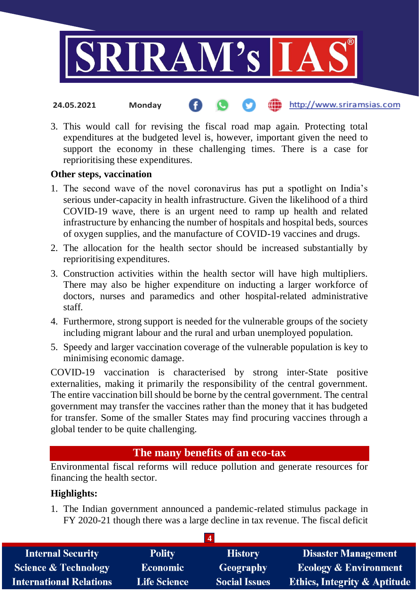

3. This would call for revising the fiscal road map again. Protecting total expenditures at the budgeted level is, however, important given the need to support the economy in these challenging times. There is a case for reprioritising these expenditures.

### **Other steps, vaccination**

- 1. The second wave of the novel coronavirus has put a spotlight on India's serious under-capacity in health infrastructure. Given the likelihood of a third COVID-19 wave, there is an urgent need to ramp up health and related infrastructure by enhancing the number of hospitals and hospital beds, sources of oxygen supplies, and the manufacture of COVID-19 vaccines and drugs.
- 2. The allocation for the health sector should be increased substantially by reprioritising expenditures.
- 3. Construction activities within the health sector will have high multipliers. There may also be higher expenditure on inducting a larger workforce of doctors, nurses and paramedics and other hospital-related administrative staff.
- 4. Furthermore, strong support is needed for the vulnerable groups of the society including migrant labour and the rural and urban unemployed population.
- 5. Speedy and larger vaccination coverage of the vulnerable population is key to minimising economic damage.

COVID-19 vaccination is characterised by strong inter-State positive externalities, making it primarily the responsibility of the central government. The entire vaccination bill should be borne by the central government. The central government may transfer the vaccines rather than the money that it has budgeted for transfer. Some of the smaller States may find procuring vaccines through a global tender to be quite challenging.

## **The many benefits of an eco-tax**

Environmental fiscal reforms will reduce pollution and generate resources for financing the health sector.

## **Highlights:**

1. The Indian government announced a pandemic-related stimulus package in FY 2020-21 though there was a large decline in tax revenue. The fiscal deficit

| <b>Internal Security</b>        | <b>Polity</b>       | <b>History</b>       | <b>Disaster Management</b>              |
|---------------------------------|---------------------|----------------------|-----------------------------------------|
| <b>Science &amp; Technology</b> | <b>Economic</b>     | Geography            | <b>Ecology &amp; Environment</b>        |
| <b>International Relations</b>  | <b>Life Science</b> | <b>Social Issues</b> | <b>Ethics, Integrity &amp; Aptitude</b> |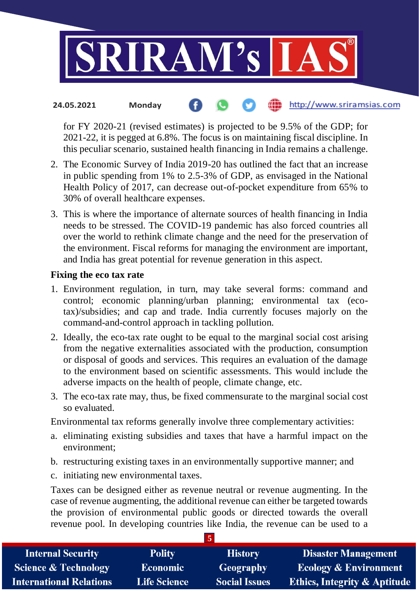

for FY 2020-21 (revised estimates) is projected to be 9.5% of the GDP; for 2021-22, it is pegged at 6.8%. The focus is on maintaining fiscal discipline. In this peculiar scenario, sustained health financing in India remains a challenge.

- 2. The Economic Survey of India 2019-20 has outlined the fact that an increase in public spending from 1% to 2.5-3% of GDP, as envisaged in the National Health Policy of 2017, can decrease out-of-pocket expenditure from 65% to 30% of overall healthcare expenses.
- 3. This is where the importance of alternate sources of health financing in India needs to be stressed. The COVID-19 pandemic has also forced countries all over the world to rethink climate change and the need for the preservation of the environment. Fiscal reforms for managing the environment are important, and India has great potential for revenue generation in this aspect.

### **Fixing the eco tax rate**

- 1. Environment regulation, in turn, may take several forms: command and control; economic planning/urban planning; environmental tax (ecotax)/subsidies; and cap and trade. India currently focuses majorly on the command-and-control approach in tackling pollution.
- 2. Ideally, the eco-tax rate ought to be equal to the marginal social cost arising from the negative externalities associated with the production, consumption or disposal of goods and services. This requires an evaluation of the damage to the environment based on scientific assessments. This would include the adverse impacts on the health of people, climate change, etc.
- 3. The eco-tax rate may, thus, be fixed commensurate to the marginal social cost so evaluated.

Environmental tax reforms generally involve three complementary activities:

- a. eliminating existing subsidies and taxes that have a harmful impact on the environment;
- b. restructuring existing taxes in an environmentally supportive manner; and
- c. initiating new environmental taxes.

Taxes can be designed either as revenue neutral or revenue augmenting. In the case of revenue augmenting, the additional revenue can either be targeted towards the provision of environmental public goods or directed towards the overall revenue pool. In developing countries like India, the revenue can be used to a

| <b>Internal Security</b>        | <b>Polity</b>       | <b>History</b>       | <b>Disaster Management</b>              |
|---------------------------------|---------------------|----------------------|-----------------------------------------|
| <b>Science &amp; Technology</b> | <b>Economic</b>     | <b>Geography</b>     | <b>Ecology &amp; Environment</b>        |
| <b>International Relations</b>  | <b>Life Science</b> | <b>Social Issues</b> | <b>Ethics, Integrity &amp; Aptitude</b> |